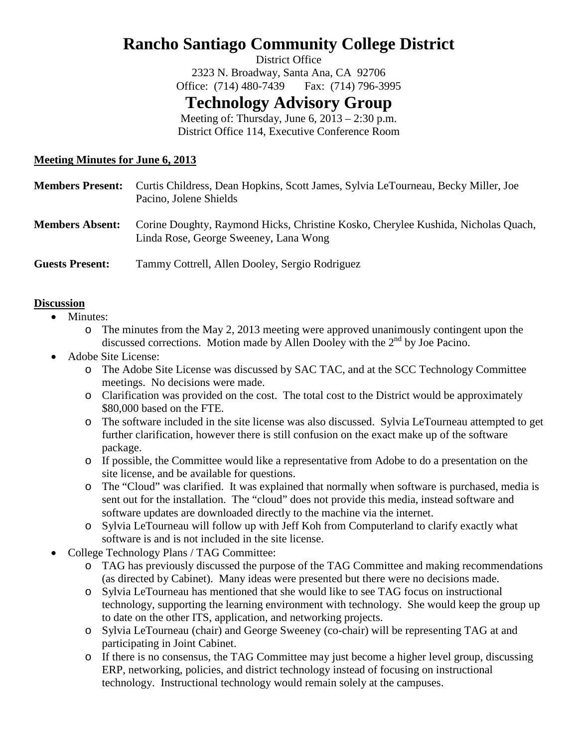# **Rancho Santiago Community College District**

District Office 2323 N. Broadway, Santa Ana, CA 92706 Office: (714) 480-7439 Fax: (714) 796-3995

## **Technology Advisory Group**

Meeting of: Thursday, June  $6$ ,  $2013 - 2:30$  p.m. District Office 114, Executive Conference Room

### **Meeting Minutes for June 6, 2013**

| <b>Members Present:</b> | Curtis Childress, Dean Hopkins, Scott James, Sylvia LeTourneau, Becky Miller, Joe<br>Pacino, Jolene Shields                |
|-------------------------|----------------------------------------------------------------------------------------------------------------------------|
| <b>Members Absent:</b>  | Corine Doughty, Raymond Hicks, Christine Kosko, Cherylee Kushida, Nicholas Quach,<br>Linda Rose, George Sweeney, Lana Wong |
| <b>Guests Present:</b>  | Tammy Cottrell, Allen Dooley, Sergio Rodriguez                                                                             |

#### **Discussion**

- Minutes:
	- o The minutes from the May 2, 2013 meeting were approved unanimously contingent upon the discussed corrections. Motion made by Allen Dooley with the  $2<sup>nd</sup>$  by Joe Pacino.
- Adobe Site License:
	- o The Adobe Site License was discussed by SAC TAC, and at the SCC Technology Committee meetings. No decisions were made.
	- o Clarification was provided on the cost. The total cost to the District would be approximately \$80,000 based on the FTE.
	- o The software included in the site license was also discussed. Sylvia LeTourneau attempted to get further clarification, however there is still confusion on the exact make up of the software package.
	- o If possible, the Committee would like a representative from Adobe to do a presentation on the site license, and be available for questions.
	- o The "Cloud" was clarified. It was explained that normally when software is purchased, media is sent out for the installation. The "cloud" does not provide this media, instead software and software updates are downloaded directly to the machine via the internet.
	- o Sylvia LeTourneau will follow up with Jeff Koh from Computerland to clarify exactly what software is and is not included in the site license.
- College Technology Plans / TAG Committee:
	- o TAG has previously discussed the purpose of the TAG Committee and making recommendations (as directed by Cabinet). Many ideas were presented but there were no decisions made.
	- o Sylvia LeTourneau has mentioned that she would like to see TAG focus on instructional technology, supporting the learning environment with technology. She would keep the group up to date on the other ITS, application, and networking projects.
	- o Sylvia LeTourneau (chair) and George Sweeney (co-chair) will be representing TAG at and participating in Joint Cabinet.
	- o If there is no consensus, the TAG Committee may just become a higher level group, discussing ERP, networking, policies, and district technology instead of focusing on instructional technology. Instructional technology would remain solely at the campuses.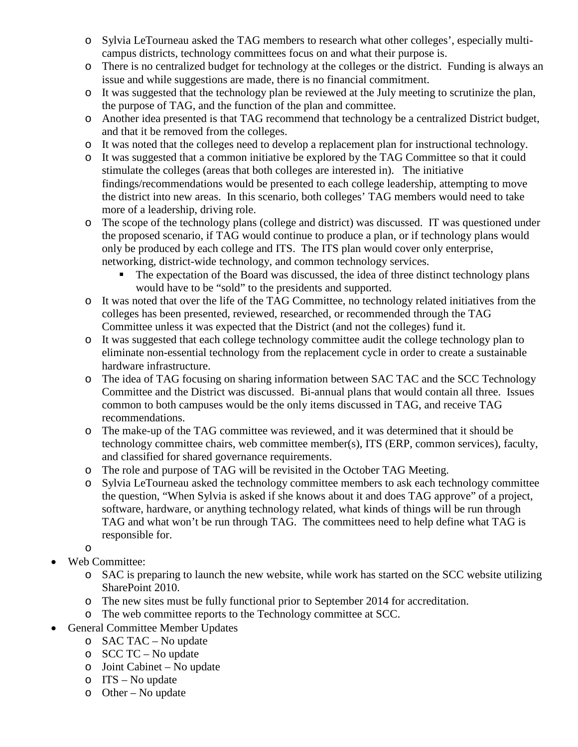- o Sylvia LeTourneau asked the TAG members to research what other colleges', especially multicampus districts, technology committees focus on and what their purpose is.
- o There is no centralized budget for technology at the colleges or the district. Funding is always an issue and while suggestions are made, there is no financial commitment.
- o It was suggested that the technology plan be reviewed at the July meeting to scrutinize the plan, the purpose of TAG, and the function of the plan and committee.
- o Another idea presented is that TAG recommend that technology be a centralized District budget, and that it be removed from the colleges.
- o It was noted that the colleges need to develop a replacement plan for instructional technology.
- o It was suggested that a common initiative be explored by the TAG Committee so that it could stimulate the colleges (areas that both colleges are interested in). The initiative findings/recommendations would be presented to each college leadership, attempting to move the district into new areas. In this scenario, both colleges' TAG members would need to take more of a leadership, driving role.
- o The scope of the technology plans (college and district) was discussed. IT was questioned under the proposed scenario, if TAG would continue to produce a plan, or if technology plans would only be produced by each college and ITS. The ITS plan would cover only enterprise, networking, district-wide technology, and common technology services.
	- The expectation of the Board was discussed, the idea of three distinct technology plans would have to be "sold" to the presidents and supported.
- o It was noted that over the life of the TAG Committee, no technology related initiatives from the colleges has been presented, reviewed, researched, or recommended through the TAG Committee unless it was expected that the District (and not the colleges) fund it.
- o It was suggested that each college technology committee audit the college technology plan to eliminate non-essential technology from the replacement cycle in order to create a sustainable hardware infrastructure.
- o The idea of TAG focusing on sharing information between SAC TAC and the SCC Technology Committee and the District was discussed. Bi-annual plans that would contain all three. Issues common to both campuses would be the only items discussed in TAG, and receive TAG recommendations.
- o The make-up of the TAG committee was reviewed, and it was determined that it should be technology committee chairs, web committee member(s), ITS (ERP, common services), faculty, and classified for shared governance requirements.
- o The role and purpose of TAG will be revisited in the October TAG Meeting.
- o Sylvia LeTourneau asked the technology committee members to ask each technology committee the question, "When Sylvia is asked if she knows about it and does TAG approve" of a project, software, hardware, or anything technology related, what kinds of things will be run through TAG and what won't be run through TAG. The committees need to help define what TAG is responsible for.

o

- Web Committee:
	- o SAC is preparing to launch the new website, while work has started on the SCC website utilizing SharePoint 2010.
	- o The new sites must be fully functional prior to September 2014 for accreditation.
	- o The web committee reports to the Technology committee at SCC.
- General Committee Member Updates
	- o SAC TAC No update
	- o SCC TC No update
	- o Joint Cabinet No update
	- o ITS No update
	- o Other No update